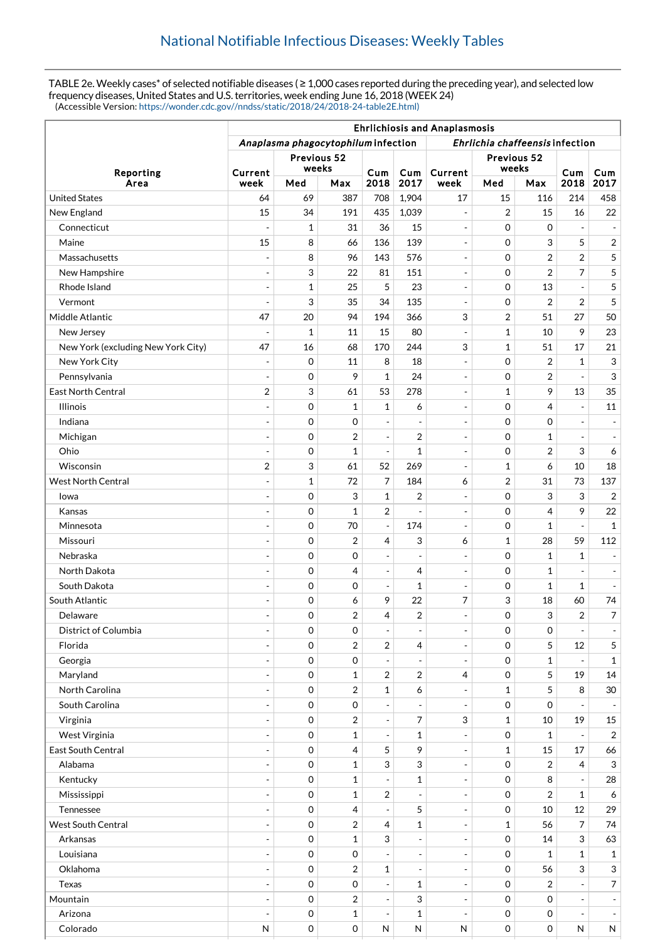TABLE 2e. Weekly cases\* of selected notifiable diseases ( ≥ 1,000 cases reported during the preceding year), and selected low frequency diseases, United States and U.S. territories, week ending June 16, 2018 (WEEK 24) (Accessible Version: [https://wonder.cdc.gov//nndss/static/2018/24/2018-24-table2E.html\)](https://wonder.cdc.gov//nndss/static/2018/24/2018-24-table2E.html)

|                                    | <b>Ehrlichiosis and Anaplasmosis</b>                                   |              |                |                          |                          |                          |                |                |                          |                           |
|------------------------------------|------------------------------------------------------------------------|--------------|----------------|--------------------------|--------------------------|--------------------------|----------------|----------------|--------------------------|---------------------------|
|                                    | Anaplasma phagocytophilum infection<br>Ehrlichia chaffeensis infection |              |                |                          |                          |                          |                |                |                          |                           |
| Reporting<br>Area                  | Previous 52<br>weeks                                                   |              |                |                          |                          | Previous 52<br>weeks     |                |                |                          |                           |
|                                    | Current<br>week                                                        | Med          | Max            | Cum<br>2018              | Cum<br>2017              | Current<br>week          | Med            | Max            | Cum<br>2018              | Cum<br>2017               |
| <b>United States</b>               | 64                                                                     | 69           | 387            | 708                      | 1,904                    | 17                       | 15             | 116            | 214                      | 458                       |
| New England                        | 15                                                                     | 34           | 191            | 435                      | 1,039                    | $\overline{\phantom{a}}$ | 2              | 15             | 16                       | 22                        |
| Connecticut                        | $\overline{a}$                                                         | 1            | 31             | 36                       | 15                       | $\overline{\phantom{a}}$ | 0              | $\mathbf 0$    |                          | $\overline{\phantom{a}}$  |
| Maine                              | 15                                                                     | 8            | 66             | 136                      | 139                      | $\overline{\phantom{a}}$ | 0              | 3              | 5                        | $\overline{2}$            |
| Massachusetts                      |                                                                        | 8            | 96             | 143                      | 576                      | $\overline{\phantom{a}}$ | $\mathbf 0$    | $\overline{2}$ | $\overline{2}$           | 5                         |
| New Hampshire                      | $\overline{a}$                                                         | 3            | 22             | 81                       | 151                      | $\sim$                   | 0              | $\overline{2}$ | 7                        | 5                         |
| Rhode Island                       | $\blacksquare$                                                         | $\mathbf{1}$ | 25             | 5                        | 23                       | $\overline{\phantom{a}}$ | 0              | 13             | $\overline{\phantom{a}}$ | 5                         |
| Vermont                            | ÷,                                                                     | 3            | 35             | 34                       | 135                      | $\overline{\phantom{a}}$ | 0              | 2              | 2                        | 5                         |
| Middle Atlantic                    | 47                                                                     | 20           | 94             | 194                      | 366                      | 3                        | 2              | 51             | 27                       | 50                        |
| New Jersey                         |                                                                        | $\mathbf{1}$ | 11             | 15                       | 80                       | $\overline{\phantom{a}}$ | $\mathbf 1$    | 10             | 9                        | 23                        |
| New York (excluding New York City) | 47                                                                     | 16           | 68             | 170                      | 244                      | 3                        | 1              | 51             | 17                       | 21                        |
| New York City                      | $\blacksquare$                                                         | 0            | 11             | 8                        | 18                       | $\overline{\phantom{a}}$ | 0              | 2              | $\mathbf{1}$             | 3                         |
| Pennsylvania                       |                                                                        | 0            | 9              | $\mathbf{1}$             | 24                       | $\overline{\phantom{a}}$ | 0              | 2              |                          | $\ensuremath{\mathsf{3}}$ |
| <b>East North Central</b>          | $\overline{2}$                                                         | 3            | 61             | 53                       | 278                      | $\overline{\phantom{a}}$ | 1              | 9              | 13                       | 35                        |
| <b>Illinois</b>                    | ÷,                                                                     | 0            | $\mathbf{1}$   | $\mathbf{1}$             | 6                        | $\overline{\phantom{a}}$ | 0              | 4              | $\blacksquare$           | 11                        |
| Indiana                            | $\overline{\phantom{a}}$                                               | 0            | $\mathbf 0$    | $\frac{1}{2}$            | $\overline{\phantom{a}}$ | $\overline{\phantom{a}}$ | $\mathbf 0$    | $\Omega$       | $\overline{\phantom{a}}$ | $\overline{\phantom{a}}$  |
| Michigan                           | ÷,                                                                     | 0            | $\overline{2}$ | $\blacksquare$           | 2                        | $\sim$                   | 0              | 1              | $\sim$                   | $\overline{\phantom{a}}$  |
| Ohio                               | $\sim$                                                                 | 0            | $\mathbf{1}$   | $\Box$                   | $\mathbf 1$              | $\overline{\phantom{a}}$ | $\mathbf 0$    | $\overline{2}$ | 3                        | 6                         |
| Wisconsin                          | $\overline{2}$                                                         | 3            | 61             | 52                       | 269                      | $\overline{\phantom{a}}$ | 1              | 6              | 10                       | 18                        |
| <b>West North Central</b>          | ÷,                                                                     | $\mathbf{1}$ | 72             | 7                        | 184                      | 6                        | $\overline{2}$ | 31             | 73                       | 137                       |
| lowa                               | ÷,                                                                     | 0            | 3              | $\mathbf 1$              | $\overline{2}$           | $\overline{\phantom{a}}$ | 0              | 3              | 3                        | 2                         |
| Kansas                             |                                                                        | 0            | $\mathbf{1}$   | $\overline{2}$           |                          | $\overline{\phantom{a}}$ | 0              | 4              | 9                        | 22                        |
| Minnesota                          | $\overline{a}$                                                         | 0            | 70             | $\overline{\phantom{a}}$ | 174                      | $\overline{\phantom{a}}$ | 0              | $\mathbf{1}$   |                          | $\mathbf{1}$              |
| Missouri                           |                                                                        | 0            | $\overline{2}$ | 4                        | 3                        | 6                        | 1              | 28             | 59                       | 112                       |
| Nebraska                           | $\sim$                                                                 | 0            | $\mathbf 0$    | $\overline{\phantom{a}}$ | $\overline{\phantom{a}}$ | $\overline{\phantom{a}}$ | $\mathbf 0$    | 1              | 1                        | $\overline{\phantom{a}}$  |
| North Dakota                       | $\overline{a}$                                                         | 0            | 4              | $\overline{\phantom{a}}$ | $\overline{4}$           | $\overline{\phantom{a}}$ | 0              | $\mathbf{1}$   | $\overline{\phantom{a}}$ | $\overline{\phantom{a}}$  |
| South Dakota                       | $\overline{a}$                                                         | 0            | $\mathbf 0$    | $\blacksquare$           | 1                        | $\overline{\phantom{a}}$ | 0              | 1              | 1                        | $\overline{\phantom{a}}$  |
| South Atlantic                     |                                                                        | 0            | 6              | 9                        | 22                       | 7                        | 3              | 18             | 60                       | 74                        |
| Delaware                           | $\overline{a}$                                                         | $\mathbf 0$  | $\sqrt{2}$     | 4                        | $\overline{\mathbf{c}}$  | $\overline{a}$           | $\Omega$       | 3              | $\overline{2}$           | 7                         |
| District of Columbia               | $\overline{\phantom{a}}$                                               | 0            | 0              | $\overline{\phantom{a}}$ | $\qquad \qquad -$        | $\sim$                   | 0              | 0              | $\overline{\phantom{a}}$ | $\overline{\phantom{a}}$  |
| Florida                            |                                                                        | 0            | $\overline{2}$ | $\overline{2}$           | 4                        | $\overline{\phantom{a}}$ | $\mathbf 0$    | 5              | 12                       | 5                         |
| Georgia                            |                                                                        | 0            | 0              | $\overline{\phantom{a}}$ |                          | $\overline{\phantom{a}}$ | $\mathbf 0$    | $\mathbf{1}$   |                          | $\mathbf 1$               |
| Maryland                           | $\overline{a}$                                                         | 0            | $\mathbf{1}$   | 2                        | 2                        | 4                        | $\mathbf 0$    | 5              | 19                       | 14                        |
| North Carolina                     | $\overline{a}$                                                         | 0            | $\sqrt{2}$     | $\mathbf 1$              | 6                        | $\overline{\phantom{a}}$ | 1              | 5              | 8                        | 30                        |
| South Carolina                     |                                                                        | 0            | 0              | $\frac{1}{2}$            |                          |                          | 0              | $\mathbf 0$    |                          | $\overline{\phantom{a}}$  |
| Virginia                           | $\overline{a}$                                                         | 0            | $\sqrt{2}$     | $\blacksquare$           | 7                        | $\sqrt{3}$               | $\mathbf{1}$   | 10             | 19                       | 15                        |
| West Virginia                      | $\overline{a}$                                                         | 0            | $\mathbf{1}$   | $\blacksquare$           | 1                        | $\overline{\phantom{a}}$ | $\mathbf 0$    | $\mathbf{1}$   |                          | $\overline{2}$            |
| East South Central                 | $\overline{\phantom{a}}$                                               | 0            | $\overline{4}$ | 5                        | 9                        | $\overline{\phantom{a}}$ | 1              | 15             | 17                       | 66                        |
| Alabama                            | ÷,                                                                     | $\mathbf 0$  | 1              | 3                        | 3                        | $\overline{\phantom{a}}$ | 0              | 2              | 4                        | $\sqrt{3}$                |
| Kentucky                           | $\overline{\phantom{a}}$                                               | 0            | $\mathbf{1}$   | $\overline{a}$           | 1                        | $\overline{\phantom{a}}$ | $\mathbf 0$    | 8              |                          | 28                        |
| Mississippi                        | $\overline{a}$                                                         | $\,0\,$      | $\mathbf{1}$   | $\boldsymbol{2}$         |                          | $\overline{\phantom{a}}$ | 0              | $\overline{2}$ | $\mathbf{1}$             | 6                         |
| Tennessee                          | $\overline{a}$                                                         | 0            | $\overline{4}$ | $\overline{\phantom{a}}$ | 5                        | $\overline{\phantom{a}}$ | 0              | 10             | 12                       | 29                        |
| <b>West South Central</b>          | $\overline{a}$                                                         | 0            | $\sqrt{2}$     | 4                        | $\mathbf 1$              | $\overline{\phantom{a}}$ | 1              | 56             | 7                        | 74                        |
| Arkansas                           |                                                                        | 0            | $\mathbf{1}$   | 3                        |                          | $\overline{a}$           | $\mathbf 0$    | 14             | 3                        | 63                        |
| Louisiana                          | $\overline{\phantom{a}}$                                               | 0            | 0              | $\overline{a}$           | $\overline{\phantom{a}}$ | $\overline{\phantom{a}}$ | 0              | $\mathbf{1}$   | $\mathbf{1}$             | $\mathbf{1}$              |
| Oklahoma                           |                                                                        | 0            | $\overline{2}$ | $\mathbf 1$              | $\overline{\phantom{a}}$ | $\overline{\phantom{a}}$ | $\mathbf 0$    | 56             | 3                        | $\mathbf{3}$              |
| Texas                              | $\overline{a}$                                                         | 0            | 0              | $\overline{\phantom{a}}$ | 1                        | $\overline{\phantom{a}}$ | $\mathbf 0$    | 2              | $\overline{\phantom{a}}$ | $\overline{7}$            |
| Mountain                           | $\overline{\phantom{a}}$                                               | $\mathbf 0$  | $\overline{2}$ | $\blacksquare$           | 3                        | $\overline{\phantom{a}}$ | 0              | $\mathbf 0$    | $\equiv$                 | ÷                         |
| Arizona                            |                                                                        | 0            | $\mathbf{1}$   | $\overline{\phantom{a}}$ | 1                        | $\overline{\phantom{a}}$ | $\mathbf 0$    | 0              | $\overline{\phantom{a}}$ | $\overline{\phantom{a}}$  |
| Colorado                           | $\mathsf{N}$                                                           | $\,0\,$      | 0              | ${\sf N}$                | ${\sf N}$                | ${\sf N}$                | 0              | 0              | ${\sf N}$                | N                         |